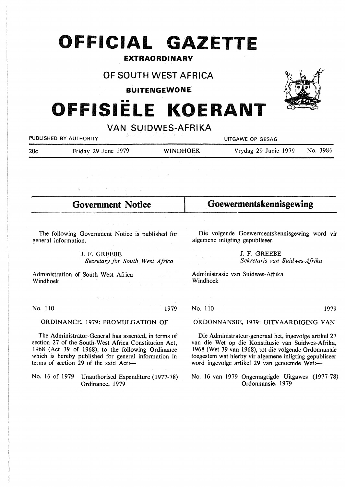# **OFFICIAL GAZETTE**

## **EXTRAORDINARY**

## **OF SOUTH WEST AFRICA**

**BUITENGEWONE** 

## •• **OFFISIELE KOERANT**

**VAN SUIDWES-AFRIKA** 

| PUBLISHED BY AUTHORITY |                     | 그 사람들은 아이들은 사람들의 사람들을 만들어 보이는 것이 없었다.<br>UITGAWE OP GESAG |                      |          |
|------------------------|---------------------|-----------------------------------------------------------|----------------------|----------|
| 20c                    | Friday 29 June 1979 | <b>WINDHOEK</b>                                           | Vrydag 29 Junie 1979 | No. 3986 |
|                        |                     |                                                           |                      |          |

| <b>Government Notice</b>                              | Goewermentskennisgewing                                 |  |
|-------------------------------------------------------|---------------------------------------------------------|--|
|                                                       |                                                         |  |
| The following Government Notice is published for      | Die volgende Goewermentskennisgewing word vir           |  |
| general information.                                  | algemene inligting gepubliseer.                         |  |
| J. F. GREEBE                                          | J. F. GREEBE                                            |  |
| Secretary for South West Africa                       | Sekretaris van Suidwes-Afrika                           |  |
| Administration of South West Africa                   | Administrasie van Suidwes-Afrika                        |  |
| Windhoek                                              | Windhoek                                                |  |
| Mask Same                                             |                                                         |  |
| No. 110                                               | No. 110                                                 |  |
| 1979                                                  | 1979                                                    |  |
| ORDINANCE, 1979: PROMULGATION OF                      | ORDONNANSIE, 1979: UITVAARDIGING VAN                    |  |
| The Administrator-General has assented, in terms of   | Die Administrateur-generaal het, ingevolge artikel 27   |  |
| section 27 of the South-West Africa Constitution Act, | van die Wet op die Konstitusie van Suidwes-Afrika,      |  |
| 1968 (Act 39 of 1968), to the following Ordinance     | 1968 (Wet 39 van 1968), tot die volgende Ordonnansie    |  |
| which is hereby published for general information in  | toegestem wat hierby vir algemene inligting gepubliseer |  |
| terms of section 29 of the said Act:-                 | word ingevolge artikel 29 van genoemde Wet:—            |  |
| No. 16 of 1979 Unauthorised Expenditure (1977-78)     | No. 16 van 1979 Ongemagtigde Uitgawes (1977-78)         |  |



Ordonnansie, 1979

Ordinance, 1979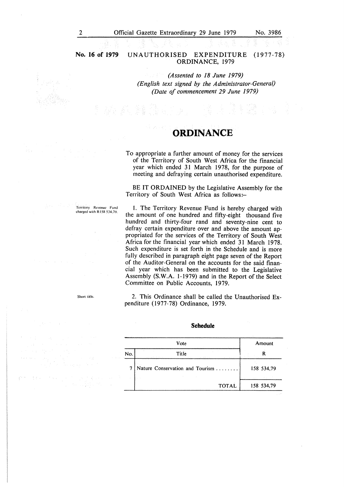### **No. 16 of 1979** UNAUTHORISED EXPENDITURE (1977-78) ORDINANCE, 1979

*(Assented to 18 June 1979) (English text signed by the Administrator-General) (Date of commencement 29 June 1979)* 

## **ORDINANCE**

To appropriate a further amount of money for the services of the Territory of South West Africa for the financial year which ended 31 March 1978, for the purpose of meeting and defraying certain unauthorised expenditure.

BE IT ORDAINED by the Legislative Assembly for the Territory of South West Africa as follows:-

!. The Territory Revenue Fund is hereby charged with the amount of one hundred and fifty-eight thousand five hundred and thirty-four rand and seventy-nine cent to defray certain expenditure over and above the amount appropriated for the services of the Territory of South West Africa for the financial year which ended 31 March 1978. Such expenditure is set forth in the Schedule and is more fully described in paragraph eight page seven of the Report of the Auditor-General on the accounts for the said financial year which has been submitted to the Legislative Assembly **(S. W.A.** 1-1979) and in the Report of the Select Committee on Public Accounts, 1979.

2. This Ordinance shall be called the Unauthorised Expenditure (1977-78) Ordinance, 1979.

|     | Vote                                        | Amount     |
|-----|---------------------------------------------|------------|
| No. | Title<br>control of the con-<br>and a staff |            |
|     | Nature Conservation and Tourism             | 158 534.79 |
|     | <b>TOTAL</b>                                | 158 534,79 |

#### **Schedule**

Territory Revenue Fund charged with R 158 534,79.

Short title.

 $\mathcal{O}(\log n) \leq \frac{1}{n}$ 一点 不安  $\Delta\tau$  ,  $\omega$  ,  $\Delta\tau$  ,